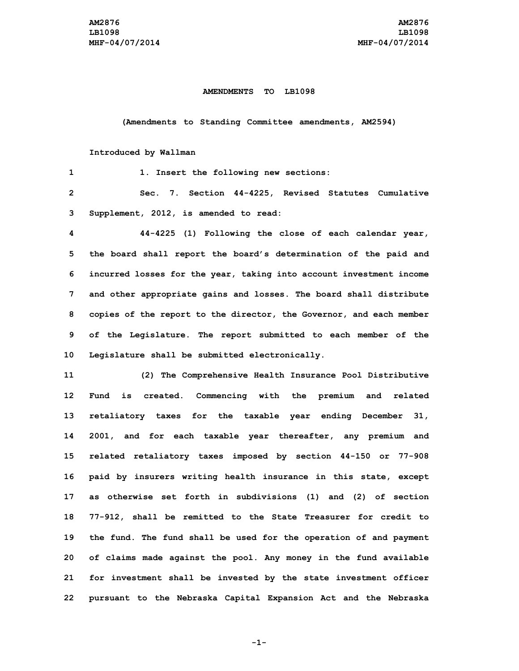## **AMENDMENTS TO LB1098**

**(Amendments to Standing Committee amendments, AM2594)**

## **Introduced by Wallman**

| 1            | 1. Insert the following new sections:                               |
|--------------|---------------------------------------------------------------------|
| $\mathbf{2}$ | Sec. 7. Section 44-4225, Revised Statutes Cumulative                |
| 3            | Supplement, 2012, is amended to read:                               |
| 4            | 44-4225 (1) Following the close of each calendar year,              |
| 5            | the board shall report the board's determination of the paid and    |
| 6            | incurred losses for the year, taking into account investment income |
| 7            | and other appropriate gains and losses. The board shall distribute  |
| 8            | copies of the report to the director, the Governor, and each member |
| 9            | of the Legislature. The report submitted to each member of the      |
| 10           | Legislature shall be submitted electronically.                      |
| 11           | (2) The Comprehensive Health Insurance Pool Distributive            |
| 12           | is created. Commencing with the premium and related<br>Fund         |
| 13           | retaliatory taxes for the taxable year ending December 31,          |
| 14           | 2001, and for each taxable year thereafter, any premium and         |
| 15           | related retaliatory taxes imposed by section 44-150 or 77-908       |
| 16           | paid by insurers writing health insurance in this state, except     |
| 17           | as otherwise set forth in subdivisions (1) and (2) of section       |
| 18           | 77-912, shall be remitted to the State Treasurer for credit to      |
| 19           | the fund. The fund shall be used for the operation of and payment   |
| 20           | of claims made against the pool. Any money in the fund available    |
| 21           | for investment shall be invested by the state investment officer    |
| 22           | pursuant to the Nebraska Capital Expansion Act and the Nebraska     |

**-1-**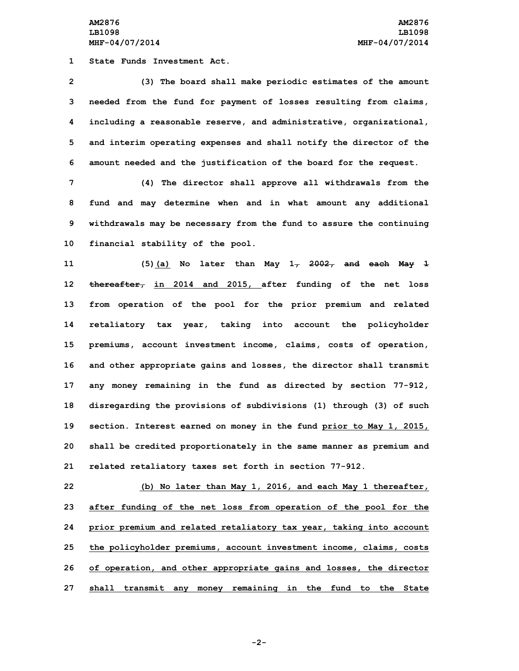**AM2876 AM2876 LB1098 LB1098 MHF-04/07/2014 MHF-04/07/2014**

**1 State Funds Investment Act.**

 **(3) The board shall make periodic estimates of the amount needed from the fund for payment of losses resulting from claims, including <sup>a</sup> reasonable reserve, and administrative, organizational, and interim operating expenses and shall notify the director of the amount needed and the justification of the board for the request.**

 **(4) The director shall approve all withdrawals from the fund and may determine when and in what amount any additional withdrawals may be necessary from the fund to assure the continuing financial stability of the pool.**

 **(5)(a) No later than May 1, 2002, and each May 1 thereafter, in 2014 and 2015, after funding of the net loss from operation of the pool for the prior premium and related retaliatory tax year, taking into account the policyholder premiums, account investment income, claims, costs of operation, and other appropriate gains and losses, the director shall transmit any money remaining in the fund as directed by section 77-912, disregarding the provisions of subdivisions (1) through (3) of such section. Interest earned on money in the fund prior to May 1, 2015, shall be credited proportionately in the same manner as premium and related retaliatory taxes set forth in section 77-912.**

 **(b) No later than May 1, 2016, and each May 1 thereafter, after funding of the net loss from operation of the pool for the prior premium and related retaliatory tax year, taking into account the policyholder premiums, account investment income, claims, costs of operation, and other appropriate gains and losses, the director shall transmit any money remaining in the fund to the State**

**-2-**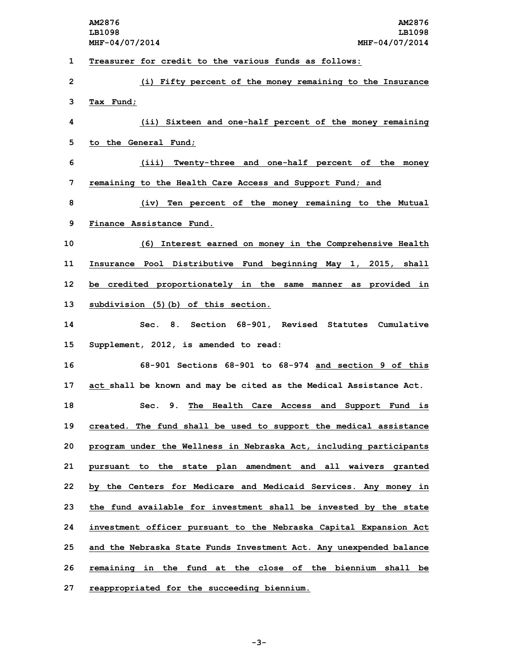|    | AM2876<br>AM2876<br>LB1098<br>LB1098                                |
|----|---------------------------------------------------------------------|
|    | MHF-04/07/2014<br>MHF-04/07/2014                                    |
| 1  | Treasurer for credit to the various funds as follows:               |
| 2  | (i) Fifty percent of the money remaining to the Insurance           |
| 3  | Tax Fund;                                                           |
| 4  | (ii) Sixteen and one-half percent of the money remaining            |
| 5  | to the General Fund;                                                |
| 6  | (iii) Twenty-three and one-half percent of the money                |
| 7  | remaining to the Health Care Access and Support Fund; and           |
| 8  | (iv) Ten percent of the money remaining to the Mutual               |
| 9  | Finance Assistance Fund.                                            |
| 10 | (6) Interest earned on money in the Comprehensive Health            |
| 11 | Insurance Pool Distributive Fund beginning May 1, 2015, shall       |
| 12 | be credited proportionately in the same manner as provided in       |
| 13 | subdivision (5) (b) of this section.                                |
| 14 | Sec. 8. Section 68-901, Revised Statutes Cumulative                 |
| 15 | Supplement, 2012, is amended to read:                               |
| 16 | 68-901 Sections 68-901 to 68-974 and section 9 of this              |
| 17 | act shall be known and may be cited as the Medical Assistance Act.  |
| 18 | Sec. 9. The Health Care Access and Support Fund is                  |
| 19 | created. The fund shall be used to support the medical assistance   |
| 20 | program under the Wellness in Nebraska Act, including participants  |
| 21 | pursuant to the state plan amendment and all waivers granted        |
| 22 | by the Centers for Medicare and Medicaid Services. Any money in     |
| 23 | the fund available for investment shall be invested by the state    |
| 24 | investment officer pursuant to the Nebraska Capital Expansion Act   |
| 25 | and the Nebraska State Funds Investment Act. Any unexpended balance |
| 26 | remaining in the fund at the close of the biennium shall be         |
| 27 | reappropriated for the succeeding biennium.                         |

**-3-**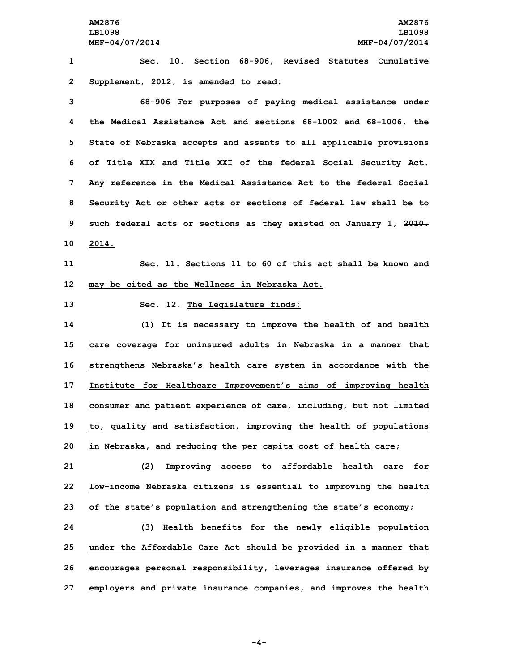**AM2876 AM2876 LB1098 LB1098 MHF-04/07/2014 MHF-04/07/2014**

**1 Sec. 10. Section 68-906, Revised Statutes Cumulative 2 Supplement, 2012, is amended to read:**

 **68-906 For purposes of paying medical assistance under the Medical Assistance Act and sections 68-1002 and 68-1006, the State of Nebraska accepts and assents to all applicable provisions of Title XIX and Title XXI of the federal Social Security Act. Any reference in the Medical Assistance Act to the federal Social Security Act or other acts or sections of federal law shall be to such federal acts or sections as they existed on January 1, 2010. 10 2014.**

**11 Sec. 11. Sections 11 to 60 of this act shall be known and 12 may be cited as the Wellness in Nebraska Act.**

**13 Sec. 12. The Legislature finds:**

 **(1) It is necessary to improve the health of and health care coverage for uninsured adults in Nebraska in <sup>a</sup> manner that strengthens Nebraska's health care system in accordance with the Institute for Healthcare Improvement's aims of improving health consumer and patient experience of care, including, but not limited to, quality and satisfaction, improving the health of populations in Nebraska, and reducing the per capita cost of health care;**

**21 (2) Improving access to affordable health care for 22 low-income Nebraska citizens is essential to improving the health**

**23 of the state's population and strengthening the state's economy;**

 **(3) Health benefits for the newly eligible population under the Affordable Care Act should be provided in <sup>a</sup> manner that encourages personal responsibility, leverages insurance offered by employers and private insurance companies, and improves the health**

**-4-**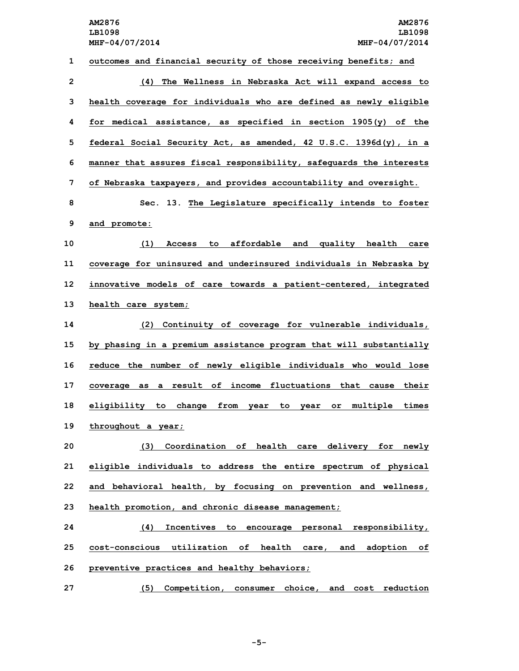**outcomes and financial security of those receiving benefits; and (4) The Wellness in Nebraska Act will expand access to health coverage for individuals who are defined as newly eligible for medical assistance, as specified in section 1905(y) of the federal Social Security Act, as amended, 42 U.S.C. 1396d(y), in <sup>a</sup> manner that assures fiscal responsibility, safeguards the interests of Nebraska taxpayers, and provides accountability and oversight. Sec. 13. The Legislature specifically intends to foster and promote: (1) Access to affordable and quality health care coverage for uninsured and underinsured individuals in Nebraska by innovative models of care towards <sup>a</sup> patient-centered, integrated health care system; (2) Continuity of coverage for vulnerable individuals, by phasing in <sup>a</sup> premium assistance program that will substantially reduce the number of newly eligible individuals who would lose coverage as <sup>a</sup> result of income fluctuations that cause their eligibility to change from year to year or multiple times throughout <sup>a</sup> year; (3) Coordination of health care delivery for newly eligible individuals to address the entire spectrum of physical and behavioral health, by focusing on prevention and wellness, health promotion, and chronic disease management; (4) Incentives to encourage personal responsibility, cost-conscious utilization of health care, and adoption of preventive practices and healthy behaviors; (5) Competition, consumer choice, and cost reduction**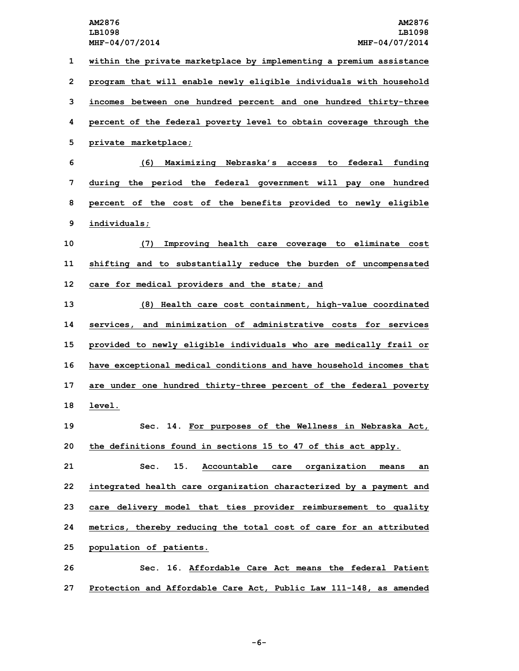**within the private marketplace by implementing <sup>a</sup> premium assistance program that will enable newly eligible individuals with household incomes between one hundred percent and one hundred thirty-three percent of the federal poverty level to obtain coverage through the private marketplace; (6) Maximizing Nebraska's access to federal funding during the period the federal government will pay one hundred percent of the cost of the benefits provided to newly eligible individuals; (7) Improving health care coverage to eliminate cost shifting and to substantially reduce the burden of uncompensated care for medical providers and the state; and (8) Health care cost containment, high-value coordinated services, and minimization of administrative costs for services provided to newly eligible individuals who are medically frail or have exceptional medical conditions and have household incomes that are under one hundred thirty-three percent of the federal poverty 18 level. Sec. 14. For purposes of the Wellness in Nebraska Act, the definitions found in sections 15 to 47 of this act apply. Sec. 15. Accountable care organization means an integrated health care organization characterized by <sup>a</sup> payment and care delivery model that ties provider reimbursement to quality metrics, thereby reducing the total cost of care for an attributed population of patients. Sec. 16. Affordable Care Act means the federal Patient**

**27 Protection and Affordable Care Act, Public Law 111-148, as amended**

**-6-**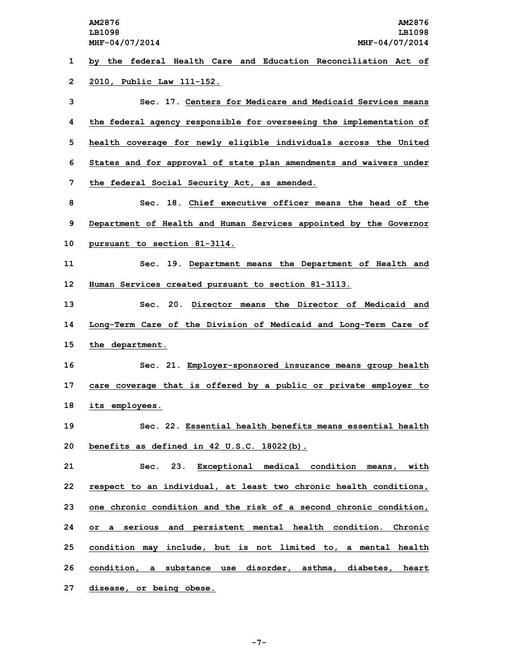**by the federal Health Care and Education Reconciliation Act of 2010, Public Law 111-152. Sec. 17. Centers for Medicare and Medicaid Services means the federal agency responsible for overseeing the implementation of health coverage for newly eligible individuals across the United States and for approval of state plan amendments and waivers under the federal Social Security Act, as amended. Sec. 18. Chief executive officer means the head of the Department of Health and Human Services appointed by the Governor pursuant to section 81-3114. Sec. 19. Department means the Department of Health and Human Services created pursuant to section 81-3113. Sec. 20. Director means the Director of Medicaid and Long-Term Care of the Division of Medicaid and Long-Term Care of the department. Sec. 21. Employer-sponsored insurance means group health care coverage that is offered by <sup>a</sup> public or private employer to its employees. Sec. 22. Essential health benefits means essential health benefits as defined in 42 U.S.C. 18022(b). Sec. 23. Exceptional medical condition means, with respect to an individual, at least two chronic health conditions, one chronic condition and the risk of <sup>a</sup> second chronic condition, or <sup>a</sup> serious and persistent mental health condition. Chronic condition may include, but is not limited to, <sup>a</sup> mental health condition, <sup>a</sup> substance use disorder, asthma, diabetes, heart**

**27 disease, or being obese.**

**-7-**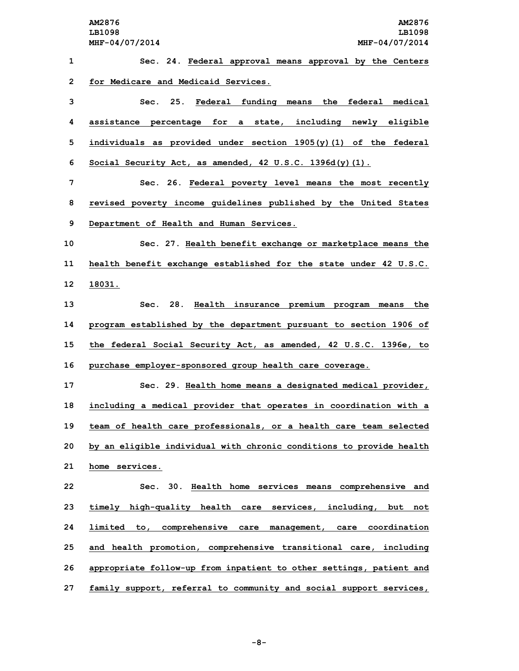**Sec. 24. Federal approval means approval by the Centers for Medicare and Medicaid Services. Sec. 25. Federal funding means the federal medical assistance percentage for <sup>a</sup> state, including newly eligible individuals as provided under section 1905(y)(1) of the federal Social Security Act, as amended, 42 U.S.C. 1396d(y)(1). Sec. 26. Federal poverty level means the most recently revised poverty income guidelines published by the United States Department of Health and Human Services. Sec. 27. Health benefit exchange or marketplace means the health benefit exchange established for the state under 42 U.S.C. 12 18031. Sec. 28. Health insurance premium program means the program established by the department pursuant to section 1906 of the federal Social Security Act, as amended, 42 U.S.C. 1396e, to purchase employer-sponsored group health care coverage. Sec. 29. Health home means <sup>a</sup> designated medical provider, including <sup>a</sup> medical provider that operates in coordination with <sup>a</sup> team of health care professionals, or <sup>a</sup> health care team selected by an eligible individual with chronic conditions to provide health home services. Sec. 30. Health home services means comprehensive and timely high-quality health care services, including, but not limited to, comprehensive care management, care coordination and health promotion, comprehensive transitional care, including appropriate follow-up from inpatient to other settings, patient and family support, referral to community and social support services,**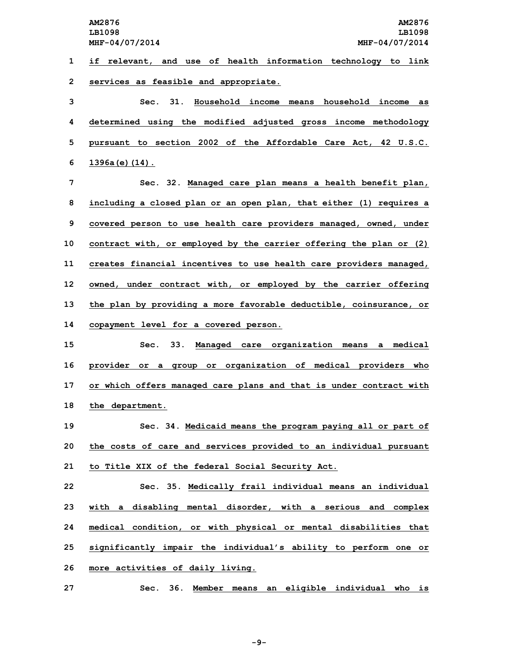**MHF-04/07/2014 MHF-04/07/2014**

**1 if relevant, and use of health information technology to link 2 services as feasible and appropriate.**

 **Sec. 31. Household income means household income as determined using the modified adjusted gross income methodology pursuant to section 2002 of the Affordable Care Act, 42 U.S.C. 1396a(e)(14).**

 **Sec. 32. Managed care plan means <sup>a</sup> health benefit plan, including <sup>a</sup> closed plan or an open plan, that either (1) requires <sup>a</sup> covered person to use health care providers managed, owned, under contract with, or employed by the carrier offering the plan or (2) creates financial incentives to use health care providers managed, owned, under contract with, or employed by the carrier offering the plan by providing <sup>a</sup> more favorable deductible, coinsurance, or copayment level for <sup>a</sup> covered person.**

 **Sec. 33. Managed care organization means <sup>a</sup> medical provider or <sup>a</sup> group or organization of medical providers who or which offers managed care plans and that is under contract with the department.**

**19 Sec. 34. Medicaid means the program paying all or part of 20 the costs of care and services provided to an individual pursuant 21 to Title XIX of the federal Social Security Act.**

 **Sec. 35. Medically frail individual means an individual with <sup>a</sup> disabling mental disorder, with <sup>a</sup> serious and complex medical condition, or with physical or mental disabilities that significantly impair the individual's ability to perform one or more activities of daily living.**

**27 Sec. 36. Member means an eligible individual who is**

**-9-**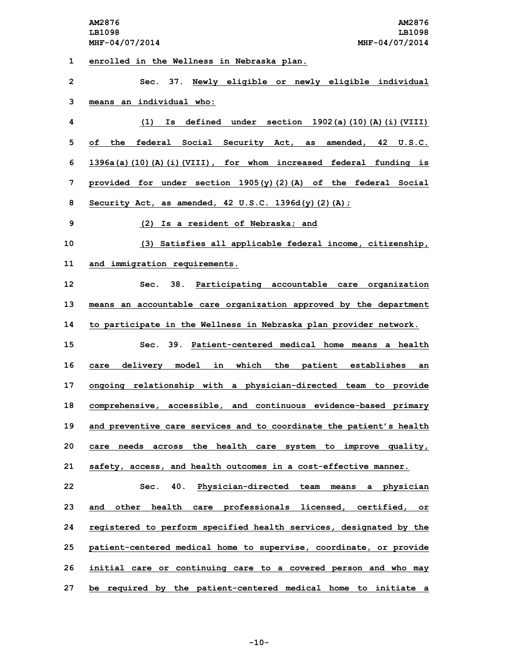**1 enrolled in the Wellness in Nebraska plan.**

| $\mathbf{2}$ | Sec. 37. Newly eligible or newly eligible individual                |
|--------------|---------------------------------------------------------------------|
| 3            | means an individual who:                                            |
| 4            | $(1)$ Is defined under section 1902(a)(10)(A)(i)(VIII)              |
| 5            | the federal Social Security Act, as amended, 42 U.S.C.<br>of        |
| 6            | 1396a(a)(10)(A)(i)(VIII), for whom increased federal funding is     |
| 7            | provided for under section $1905(y)(2)$ (A) of the federal Social   |
| 8            | Security Act, as amended, $42 \text{ U.S.C. } 1396d(y)(2)(A);$      |
| 9            | (2) Is a resident of Nebraska; and                                  |
| 10           | (3) Satisfies all applicable federal income, citizenship,           |
| 11           | and immigration requirements.                                       |
| 12           | 38. Participating accountable care organization<br>Sec.             |
| 13           | means an accountable care organization approved by the department   |
| 14           | to participate in the Wellness in Nebraska plan provider network.   |
| 15           | Sec. 39. Patient-centered medical home means a health               |
| 16           | care delivery model in which the patient establishes an             |
| 17           | ongoing relationship with a physician-directed team to provide      |
| 18           | comprehensive, accessible, and continuous evidence-based primary    |
| 19           | and preventive care services and to coordinate the patient's health |
| 20           | care needs across the health care system to improve quality,        |
| 21           | safety, access, and health outcomes in a cost-effective manner.     |
| 22           | Physician-directed team means a physician<br>40.<br>Sec.            |
| 23           | and other health care professionals licensed, certified, or         |
| 24           | registered to perform specified health services, designated by the  |
| 25           | patient-centered medical home to supervise, coordinate, or provide  |
| 26           | initial care or continuing care to a covered person and who may     |
| 27           | be required by the patient-centered medical home to initiate a      |

**-10-**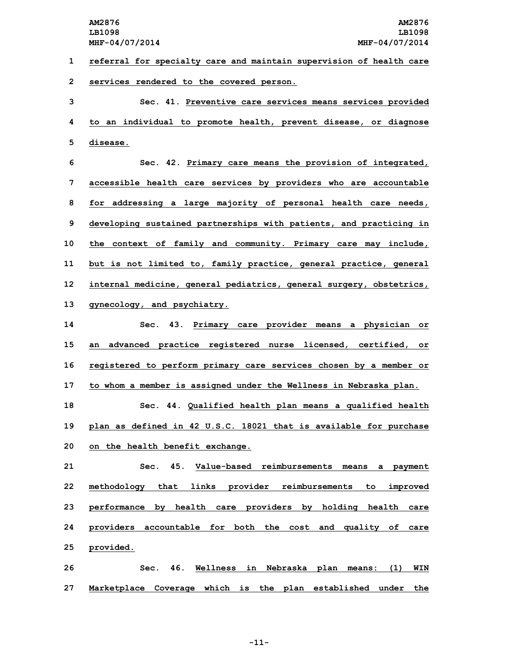**1 referral for specialty care and maintain supervision of health care 2 services rendered to the covered person.**

**3 Sec. 41. Preventive care services means services provided 4 to an individual to promote health, prevent disease, or diagnose 5 disease.**

 **Sec. 42. Primary care means the provision of integrated, accessible health care services by providers who are accountable for addressing <sup>a</sup> large majority of personal health care needs, developing sustained partnerships with patients, and practicing in the context of family and community. Primary care may include, but is not limited to, family practice, general practice, general internal medicine, general pediatrics, general surgery, obstetrics, gynecology, and psychiatry.**

 **Sec. 43. Primary care provider means <sup>a</sup> physician or an advanced practice registered nurse licensed, certified, or registered to perform primary care services chosen by <sup>a</sup> member or to whom <sup>a</sup> member is assigned under the Wellness in Nebraska plan.**

**18 Sec. 44. Qualified health plan means <sup>a</sup> qualified health 19 plan as defined in 42 U.S.C. 18021 that is available for purchase 20 on the health benefit exchange.**

 **Sec. 45. Value-based reimbursements means <sup>a</sup> payment methodology that links provider reimbursements to improved performance by health care providers by holding health care providers accountable for both the cost and quality of care provided.**

**26 Sec. 46. Wellness in Nebraska plan means: (1) WIN 27 Marketplace Coverage which is the plan established under the**

**-11-**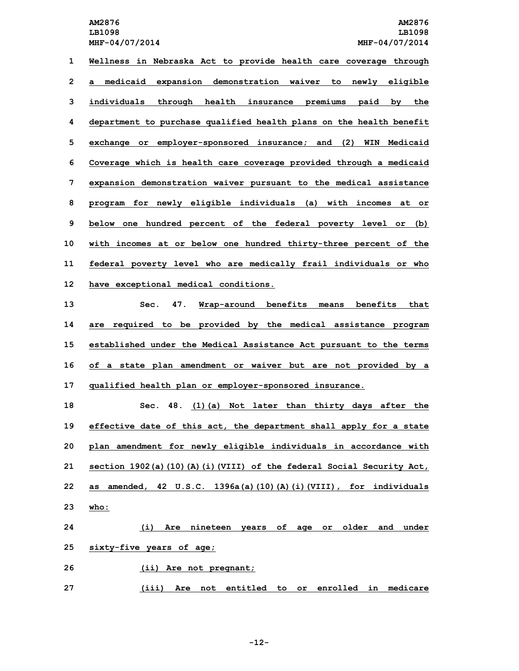**LB1098 LB1098**

 **Wellness in Nebraska Act to provide health care coverage through <sup>a</sup> medicaid expansion demonstration waiver to newly eligible individuals through health insurance premiums paid by the department to purchase qualified health plans on the health benefit exchange or employer-sponsored insurance; and (2) WIN Medicaid Coverage which is health care coverage provided through <sup>a</sup> medicaid expansion demonstration waiver pursuant to the medical assistance program for newly eligible individuals (a) with incomes at or below one hundred percent of the federal poverty level or (b) with incomes at or below one hundred thirty-three percent of the federal poverty level who are medically frail individuals or who have exceptional medical conditions.**

 **Sec. 47. Wrap-around benefits means benefits that are required to be provided by the medical assistance program established under the Medical Assistance Act pursuant to the terms of <sup>a</sup> state plan amendment or waiver but are not provided by <sup>a</sup> qualified health plan or employer-sponsored insurance.**

 **Sec. 48. (1)(a) Not later than thirty days after the effective date of this act, the department shall apply for <sup>a</sup> state plan amendment for newly eligible individuals in accordance with section 1902(a)(10)(A)(i)(VIII) of the federal Social Security Act, as amended, 42 U.S.C. 1396a(a)(10)(A)(i)(VIII), for individuals 23 who:**

**24 (i) Are nineteen years of age or older and under 25 sixty-five years of age; 26 (ii) Are not pregnant;**

**27 (iii) Are not entitled to or enrolled in medicare**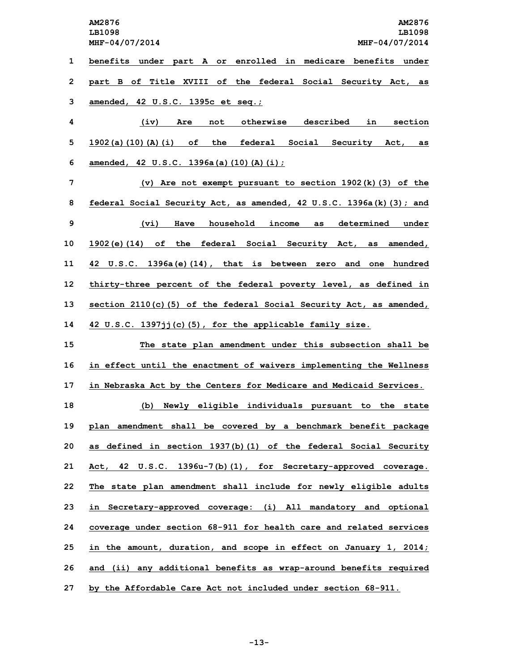**1 benefits under part <sup>A</sup> or enrolled in medicare benefits under 2 part <sup>B</sup> of Title XVIII of the federal Social Security Act, as 3 amended, 42 U.S.C. 1395c et seq.;**

**4 (iv) Are not otherwise described in section 5 1902(a)(10)(A)(i) of the federal Social Security Act, as 6 amended, 42 U.S.C. 1396a(a)(10)(A)(i);**

 **(v) Are not exempt pursuant to section 1902(k)(3) of the federal Social Security Act, as amended, 42 U.S.C. 1396a(k)(3); and (vi) Have household income as determined under 1902(e)(14) of the federal Social Security Act, as amended, 42 U.S.C. 1396a(e)(14), that is between zero and one hundred thirty-three percent of the federal poverty level, as defined in section 2110(c)(5) of the federal Social Security Act, as amended, 42 U.S.C. 1397jj(c)(5), for the applicable family size.**

 **The state plan amendment under this subsection shall be in effect until the enactment of waivers implementing the Wellness in Nebraska Act by the Centers for Medicare and Medicaid Services. (b) Newly eligible individuals pursuant to the state plan amendment shall be covered by <sup>a</sup> benchmark benefit package as defined in section 1937(b)(1) of the federal Social Security Act, 42 U.S.C. 1396u-7(b)(1), for Secretary-approved coverage. The state plan amendment shall include for newly eligible adults in Secretary-approved coverage: (i) All mandatory and optional coverage under section 68-911 for health care and related services in the amount, duration, and scope in effect on January 1, 2014; and (ii) any additional benefits as wrap-around benefits required by the Affordable Care Act not included under section 68-911.**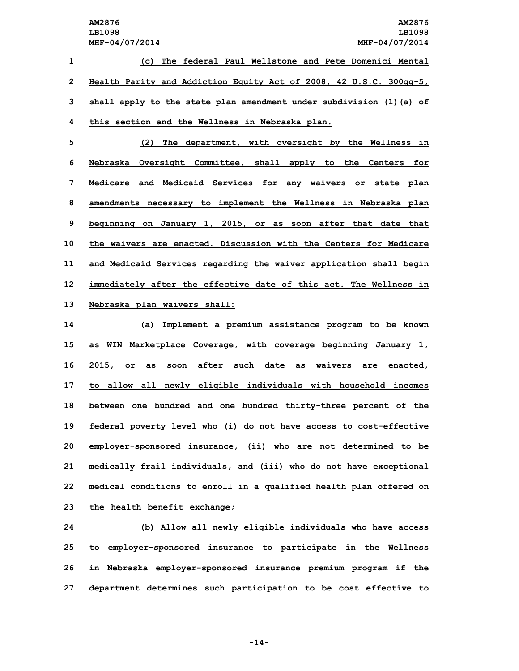**(c) The federal Paul Wellstone and Pete Domenici Mental Health Parity and Addiction Equity Act of 2008, 42 U.S.C. 300gg-5, shall apply to the state plan amendment under subdivision (1)(a) of this section and the Wellness in Nebraska plan.**

 **(2) The department, with oversight by the Wellness in Nebraska Oversight Committee, shall apply to the Centers for Medicare and Medicaid Services for any waivers or state plan amendments necessary to implement the Wellness in Nebraska plan beginning on January 1, 2015, or as soon after that date that the waivers are enacted. Discussion with the Centers for Medicare and Medicaid Services regarding the waiver application shall begin immediately after the effective date of this act. The Wellness in Nebraska plan waivers shall:**

 **(a) Implement <sup>a</sup> premium assistance program to be known as WIN Marketplace Coverage, with coverage beginning January 1, 2015, or as soon after such date as waivers are enacted, to allow all newly eligible individuals with household incomes between one hundred and one hundred thirty-three percent of the federal poverty level who (i) do not have access to cost-effective employer-sponsored insurance, (ii) who are not determined to be medically frail individuals, and (iii) who do not have exceptional medical conditions to enroll in <sup>a</sup> qualified health plan offered on the health benefit exchange;**

 **(b) Allow all newly eligible individuals who have access to employer-sponsored insurance to participate in the Wellness in Nebraska employer-sponsored insurance premium program if the department determines such participation to be cost effective to**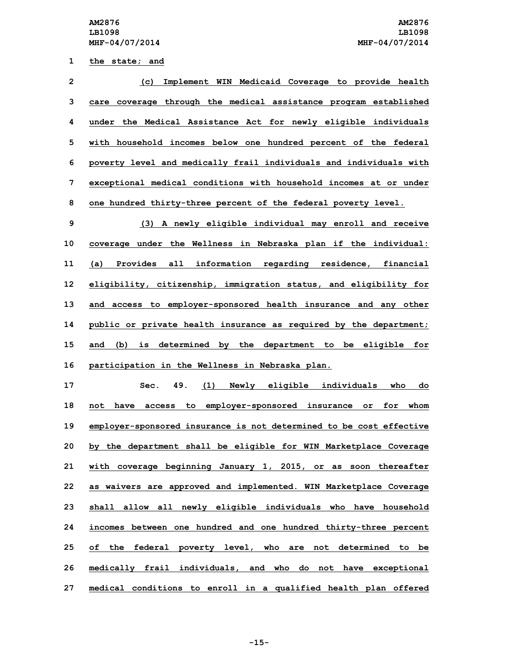**1 the state; and**

 **(c) Implement WIN Medicaid Coverage to provide health care coverage through the medical assistance program established under the Medical Assistance Act for newly eligible individuals with household incomes below one hundred percent of the federal poverty level and medically frail individuals and individuals with exceptional medical conditions with household incomes at or under one hundred thirty-three percent of the federal poverty level. (3) <sup>A</sup> newly eligible individual may enroll and receive coverage under the Wellness in Nebraska plan if the individual: (a) Provides all information regarding residence, financial eligibility, citizenship, immigration status, and eligibility for and access to employer-sponsored health insurance and any other public or private health insurance as required by the department; and (b) is determined by the department to be eligible for participation in the Wellness in Nebraska plan. Sec. 49. (1) Newly eligible individuals who do not have access to employer-sponsored insurance or for whom employer-sponsored insurance is not determined to be cost effective by the department shall be eligible for WIN Marketplace Coverage with coverage beginning January 1, 2015, or as soon thereafter as waivers are approved and implemented. WIN Marketplace Coverage shall allow all newly eligible individuals who have household incomes between one hundred and one hundred thirty-three percent of the federal poverty level, who are not determined to be medically frail individuals, and who do not have exceptional**

**27 medical conditions to enroll in <sup>a</sup> qualified health plan offered**

**-15-**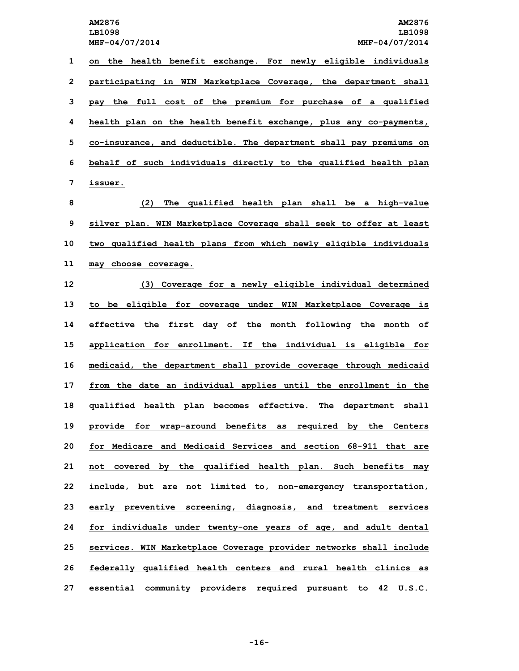**on the health benefit exchange. For newly eligible individuals participating in WIN Marketplace Coverage, the department shall pay the full cost of the premium for purchase of <sup>a</sup> qualified health plan on the health benefit exchange, plus any co-payments, co-insurance, and deductible. The department shall pay premiums on behalf of such individuals directly to the qualified health plan 7 issuer.**

 **(2) The qualified health plan shall be <sup>a</sup> high-value silver plan. WIN Marketplace Coverage shall seek to offer at least two qualified health plans from which newly eligible individuals may choose coverage.**

 **(3) Coverage for <sup>a</sup> newly eligible individual determined to be eligible for coverage under WIN Marketplace Coverage is effective the first day of the month following the month of application for enrollment. If the individual is eligible for medicaid, the department shall provide coverage through medicaid from the date an individual applies until the enrollment in the qualified health plan becomes effective. The department shall provide for wrap-around benefits as required by the Centers for Medicare and Medicaid Services and section 68-911 that are not covered by the qualified health plan. Such benefits may include, but are not limited to, non-emergency transportation, early preventive screening, diagnosis, and treatment services for individuals under twenty-one years of age, and adult dental services. WIN Marketplace Coverage provider networks shall include federally qualified health centers and rural health clinics as essential community providers required pursuant to 42 U.S.C.**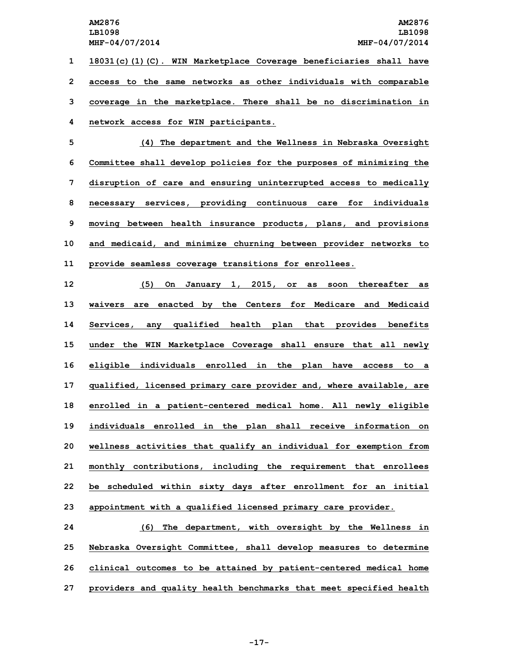**18031(c)(1)(C). WIN Marketplace Coverage beneficiaries shall have access to the same networks as other individuals with comparable coverage in the marketplace. There shall be no discrimination in network access for WIN participants.**

 **(4) The department and the Wellness in Nebraska Oversight Committee shall develop policies for the purposes of minimizing the disruption of care and ensuring uninterrupted access to medically necessary services, providing continuous care for individuals moving between health insurance products, plans, and provisions and medicaid, and minimize churning between provider networks to provide seamless coverage transitions for enrollees.**

 **(5) On January 1, 2015, or as soon thereafter as waivers are enacted by the Centers for Medicare and Medicaid Services, any qualified health plan that provides benefits under the WIN Marketplace Coverage shall ensure that all newly eligible individuals enrolled in the plan have access to <sup>a</sup> qualified, licensed primary care provider and, where available, are enrolled in <sup>a</sup> patient-centered medical home. All newly eligible individuals enrolled in the plan shall receive information on wellness activities that qualify an individual for exemption from monthly contributions, including the requirement that enrollees be scheduled within sixty days after enrollment for an initial appointment with <sup>a</sup> qualified licensed primary care provider.**

 **(6) The department, with oversight by the Wellness in Nebraska Oversight Committee, shall develop measures to determine clinical outcomes to be attained by patient-centered medical home providers and quality health benchmarks that meet specified health**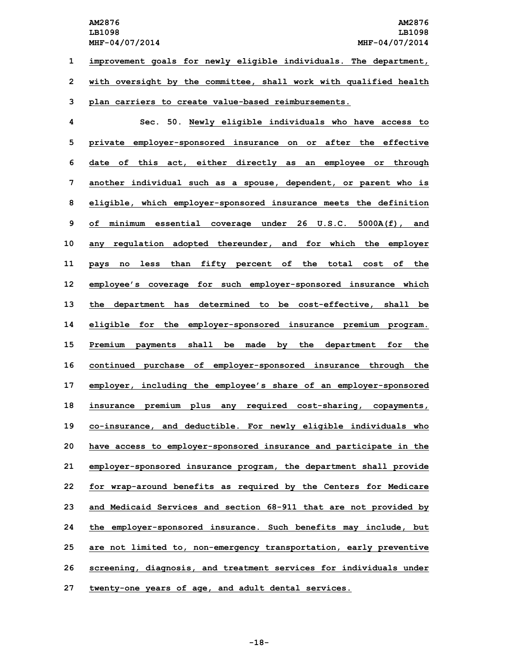**1 improvement goals for newly eligible individuals. The department, 2 with oversight by the committee, shall work with qualified health**

## **3 plan carriers to create value-based reimbursements.**

 **Sec. 50. Newly eligible individuals who have access to private employer-sponsored insurance on or after the effective date of this act, either directly as an employee or through another individual such as <sup>a</sup> spouse, dependent, or parent who is eligible, which employer-sponsored insurance meets the definition of minimum essential coverage under 26 U.S.C. 5000A(f), and any regulation adopted thereunder, and for which the employer pays no less than fifty percent of the total cost of the employee's coverage for such employer-sponsored insurance which the department has determined to be cost-effective, shall be eligible for the employer-sponsored insurance premium program. Premium payments shall be made by the department for the continued purchase of employer-sponsored insurance through the employer, including the employee's share of an employer-sponsored insurance premium plus any required cost-sharing, copayments, co-insurance, and deductible. For newly eligible individuals who have access to employer-sponsored insurance and participate in the employer-sponsored insurance program, the department shall provide for wrap-around benefits as required by the Centers for Medicare and Medicaid Services and section 68-911 that are not provided by the employer-sponsored insurance. Such benefits may include, but are not limited to, non-emergency transportation, early preventive screening, diagnosis, and treatment services for individuals under twenty-one years of age, and adult dental services.**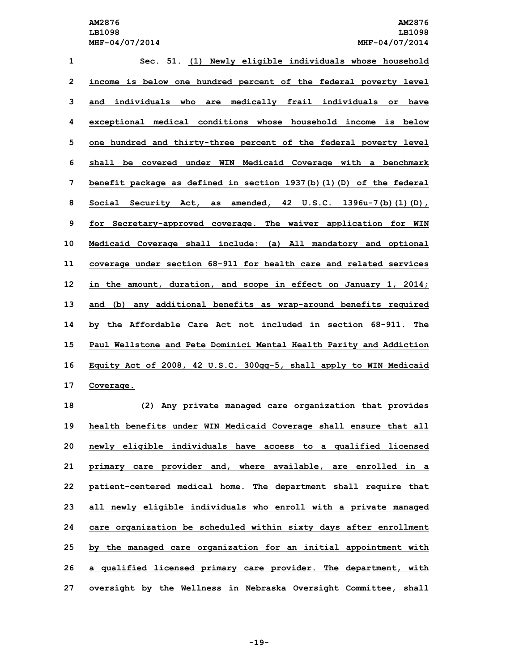**Sec. 51. (1) Newly eligible individuals whose household income is below one hundred percent of the federal poverty level and individuals who are medically frail individuals or have exceptional medical conditions whose household income is below one hundred and thirty-three percent of the federal poverty level shall be covered under WIN Medicaid Coverage with <sup>a</sup> benchmark benefit package as defined in section 1937(b)(1)(D) of the federal Social Security Act, as amended, 42 U.S.C. 1396u-7(b)(1)(D), for Secretary-approved coverage. The waiver application for WIN Medicaid Coverage shall include: (a) All mandatory and optional coverage under section 68-911 for health care and related services in the amount, duration, and scope in effect on January 1, 2014; and (b) any additional benefits as wrap-around benefits required by the Affordable Care Act not included in section 68-911. The Paul Wellstone and Pete Dominici Mental Health Parity and Addiction Equity Act of 2008, 42 U.S.C. 300gg-5, shall apply to WIN Medicaid Coverage. (2) Any private managed care organization that provides health benefits under WIN Medicaid Coverage shall ensure that all**

 **newly eligible individuals have access to <sup>a</sup> qualified licensed primary care provider and, where available, are enrolled in <sup>a</sup> patient-centered medical home. The department shall require that all newly eligible individuals who enroll with <sup>a</sup> private managed care organization be scheduled within sixty days after enrollment by the managed care organization for an initial appointment with <sup>a</sup> qualified licensed primary care provider. The department, with oversight by the Wellness in Nebraska Oversight Committee, shall**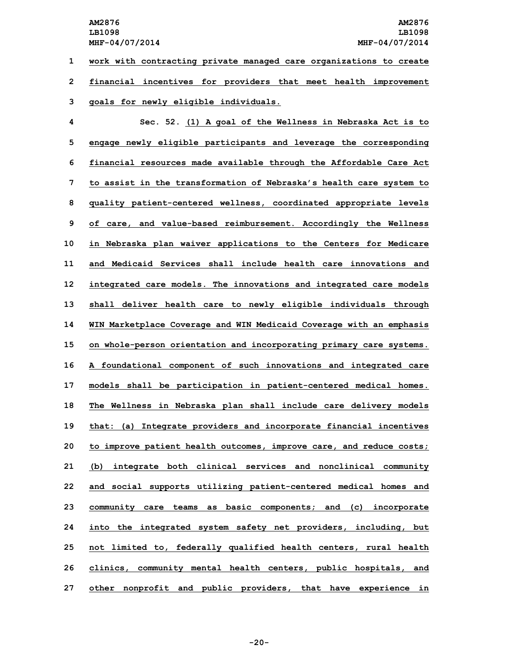**1 work with contracting private managed care organizations to create 2 financial incentives for providers that meet health improvement 3 goals for newly eligible individuals.**

 **Sec. 52. (1) <sup>A</sup> goal of the Wellness in Nebraska Act is to engage newly eligible participants and leverage the corresponding financial resources made available through the Affordable Care Act to assist in the transformation of Nebraska's health care system to quality patient-centered wellness, coordinated appropriate levels of care, and value-based reimbursement. Accordingly the Wellness in Nebraska plan waiver applications to the Centers for Medicare and Medicaid Services shall include health care innovations and integrated care models. The innovations and integrated care models shall deliver health care to newly eligible individuals through WIN Marketplace Coverage and WIN Medicaid Coverage with an emphasis on whole-person orientation and incorporating primary care systems. <sup>A</sup> foundational component of such innovations and integrated care models shall be participation in patient-centered medical homes. The Wellness in Nebraska plan shall include care delivery models that: (a) Integrate providers and incorporate financial incentives to improve patient health outcomes, improve care, and reduce costs; (b) integrate both clinical services and nonclinical community and social supports utilizing patient-centered medical homes and community care teams as basic components; and (c) incorporate into the integrated system safety net providers, including, but not limited to, federally qualified health centers, rural health clinics, community mental health centers, public hospitals, and other nonprofit and public providers, that have experience in**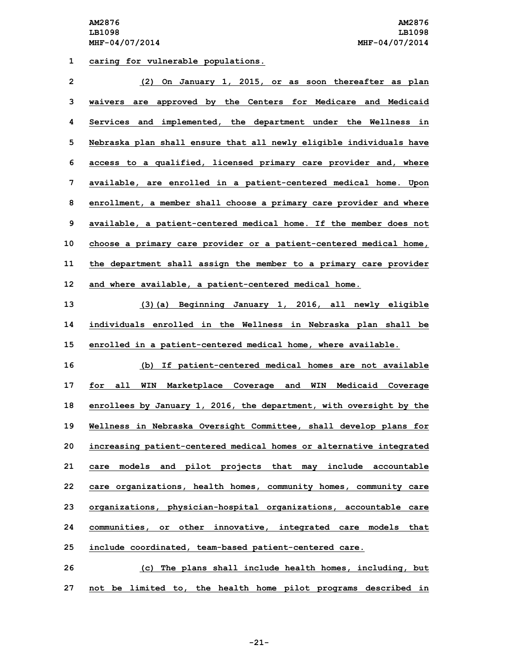**1 caring for vulnerable populations.**

| $\overline{2}$ | (2) On January 1, 2015, or as soon thereafter as plan               |
|----------------|---------------------------------------------------------------------|
| 3              | waivers are approved by the Centers for Medicare and Medicaid       |
| 4              | Services and implemented, the department under the Wellness in      |
| 5              | Nebraska plan shall ensure that all newly eligible individuals have |
| 6              | access to a qualified, licensed primary care provider and, where    |
| 7              | available, are enrolled in a patient-centered medical home. Upon    |
| 8              | enrollment, a member shall choose a primary care provider and where |
| 9              | available, a patient-centered medical home. If the member does not  |
| 10             | choose a primary care provider or a patient-centered medical home,  |
| 11             | the department shall assign the member to a primary care provider   |
| 12             | and where available, a patient-centered medical home.               |
|                |                                                                     |

**13 (3)(a) Beginning January 1, 2016, all newly eligible 14 individuals enrolled in the Wellness in Nebraska plan shall be 15 enrolled in <sup>a</sup> patient-centered medical home, where available.**

 **(b) If patient-centered medical homes are not available for all WIN Marketplace Coverage and WIN Medicaid Coverage enrollees by January 1, 2016, the department, with oversight by the Wellness in Nebraska Oversight Committee, shall develop plans for increasing patient-centered medical homes or alternative integrated care models and pilot projects that may include accountable care organizations, health homes, community homes, community care organizations, physician-hospital organizations, accountable care communities, or other innovative, integrated care models that include coordinated, team-based patient-centered care.**

**26 (c) The plans shall include health homes, including, but 27 not be limited to, the health home pilot programs described in**

**-21-**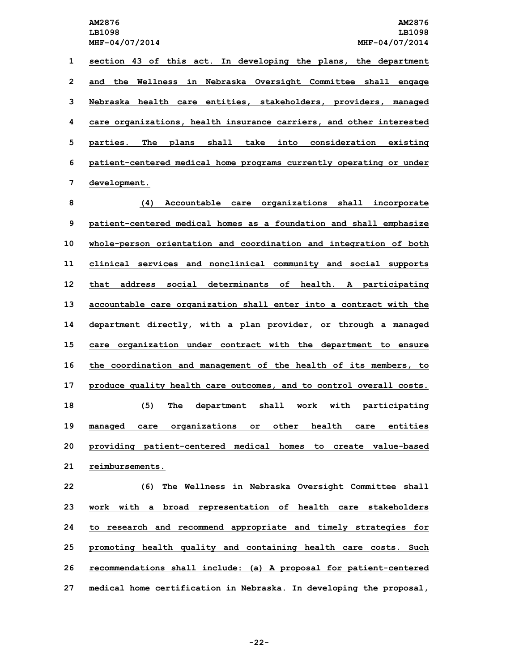**section 43 of this act. In developing the plans, the department and the Wellness in Nebraska Oversight Committee shall engage Nebraska health care entities, stakeholders, providers, managed care organizations, health insurance carriers, and other interested parties. The plans shall take into consideration existing patient-centered medical home programs currently operating or under development.**

 **(4) Accountable care organizations shall incorporate patient-centered medical homes as <sup>a</sup> foundation and shall emphasize whole-person orientation and coordination and integration of both clinical services and nonclinical community and social supports that address social determinants of health. <sup>A</sup> participating accountable care organization shall enter into <sup>a</sup> contract with the department directly, with <sup>a</sup> plan provider, or through <sup>a</sup> managed care organization under contract with the department to ensure the coordination and management of the health of its members, to produce quality health care outcomes, and to control overall costs. (5) The department shall work with participating managed care organizations or other health care entities providing patient-centered medical homes to create value-based reimbursements.**

 **(6) The Wellness in Nebraska Oversight Committee shall work with <sup>a</sup> broad representation of health care stakeholders to research and recommend appropriate and timely strategies for promoting health quality and containing health care costs. Such recommendations shall include: (a) <sup>A</sup> proposal for patient-centered medical home certification in Nebraska. In developing the proposal,**

**-22-**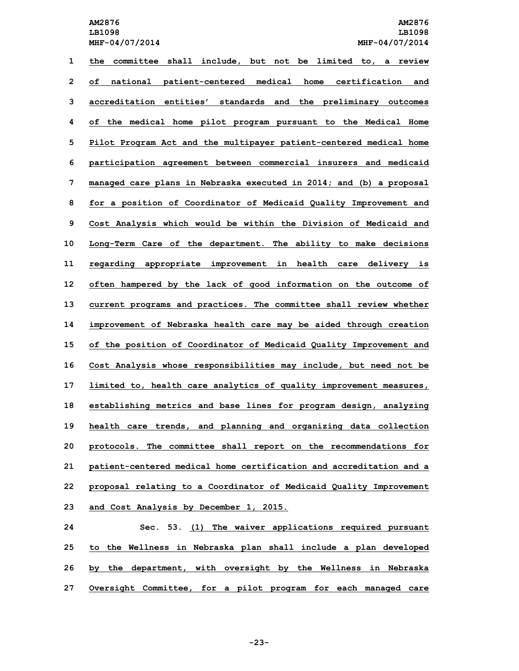**LB1098 LB1098**

 **the committee shall include, but not be limited to, <sup>a</sup> review of national patient-centered medical home certification and accreditation entities' standards and the preliminary outcomes of the medical home pilot program pursuant to the Medical Home Pilot Program Act and the multipayer patient-centered medical home participation agreement between commercial insurers and medicaid managed care plans in Nebraska executed in 2014; and (b) <sup>a</sup> proposal for <sup>a</sup> position of Coordinator of Medicaid Quality Improvement and Cost Analysis which would be within the Division of Medicaid and Long-Term Care of the department. The ability to make decisions regarding appropriate improvement in health care delivery is often hampered by the lack of good information on the outcome of current programs and practices. The committee shall review whether improvement of Nebraska health care may be aided through creation of the position of Coordinator of Medicaid Quality Improvement and Cost Analysis whose responsibilities may include, but need not be limited to, health care analytics of quality improvement measures, establishing metrics and base lines for program design, analyzing health care trends, and planning and organizing data collection protocols. The committee shall report on the recommendations for patient-centered medical home certification and accreditation and <sup>a</sup> proposal relating to <sup>a</sup> Coordinator of Medicaid Quality Improvement and Cost Analysis by December 1, 2015.**

 **Sec. 53. (1) The waiver applications required pursuant to the Wellness in Nebraska plan shall include <sup>a</sup> plan developed by the department, with oversight by the Wellness in Nebraska Oversight Committee, for <sup>a</sup> pilot program for each managed care**

**-23-**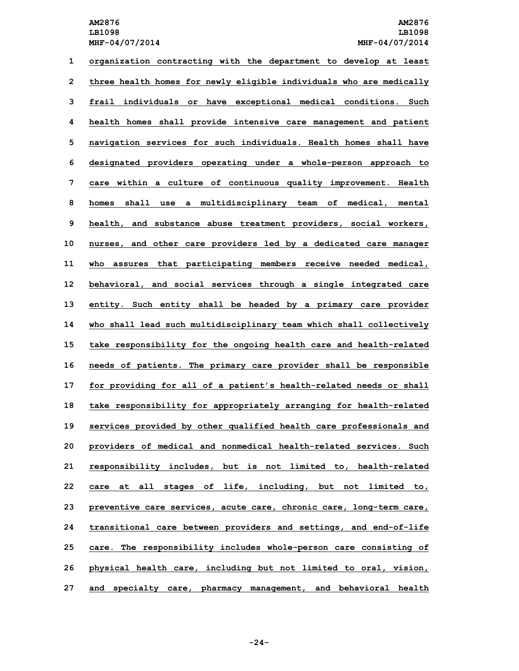**organization contracting with the department to develop at least three health homes for newly eligible individuals who are medically frail individuals or have exceptional medical conditions. Such health homes shall provide intensive care management and patient navigation services for such individuals. Health homes shall have designated providers operating under <sup>a</sup> whole-person approach to care within <sup>a</sup> culture of continuous quality improvement. Health homes shall use <sup>a</sup> multidisciplinary team of medical, mental health, and substance abuse treatment providers, social workers, nurses, and other care providers led by <sup>a</sup> dedicated care manager who assures that participating members receive needed medical, behavioral, and social services through <sup>a</sup> single integrated care entity. Such entity shall be headed by <sup>a</sup> primary care provider who shall lead such multidisciplinary team which shall collectively take responsibility for the ongoing health care and health-related needs of patients. The primary care provider shall be responsible for providing for all of <sup>a</sup> patient's health-related needs or shall take responsibility for appropriately arranging for health-related services provided by other qualified health care professionals and providers of medical and nonmedical health-related services. Such responsibility includes, but is not limited to, health-related care at all stages of life, including, but not limited to, preventive care services, acute care, chronic care, long-term care, transitional care between providers and settings, and end-of-life care. The responsibility includes whole-person care consisting of physical health care, including but not limited to oral, vision, and specialty care, pharmacy management, and behavioral health**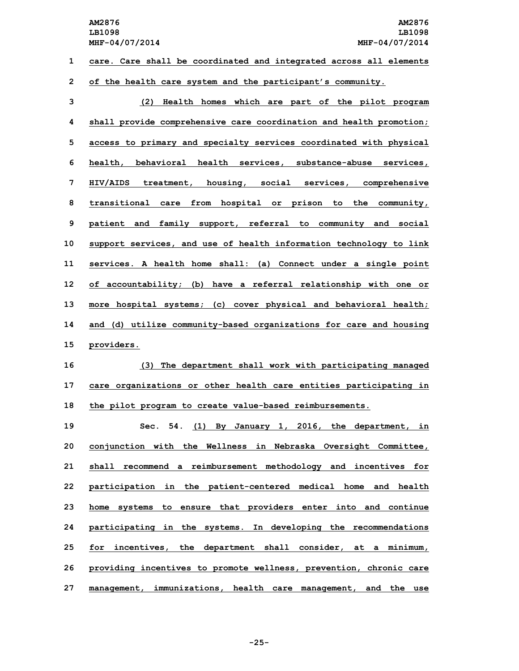**1 care. Care shall be coordinated and integrated across all elements**

**2 of the health care system and the participant's community.**

 **(2) Health homes which are part of the pilot program shall provide comprehensive care coordination and health promotion; access to primary and specialty services coordinated with physical health, behavioral health services, substance-abuse services, HIV/AIDS treatment, housing, social services, comprehensive transitional care from hospital or prison to the community, patient and family support, referral to community and social support services, and use of health information technology to link services. <sup>A</sup> health home shall: (a) Connect under <sup>a</sup> single point of accountability; (b) have <sup>a</sup> referral relationship with one or more hospital systems; (c) cover physical and behavioral health; and (d) utilize community-based organizations for care and housing providers.**

**16 (3) The department shall work with participating managed 17 care organizations or other health care entities participating in 18 the pilot program to create value-based reimbursements.**

 **Sec. 54. (1) By January 1, 2016, the department, in conjunction with the Wellness in Nebraska Oversight Committee, shall recommend <sup>a</sup> reimbursement methodology and incentives for participation in the patient-centered medical home and health home systems to ensure that providers enter into and continue participating in the systems. In developing the recommendations for incentives, the department shall consider, at <sup>a</sup> minimum, providing incentives to promote wellness, prevention, chronic care management, immunizations, health care management, and the use**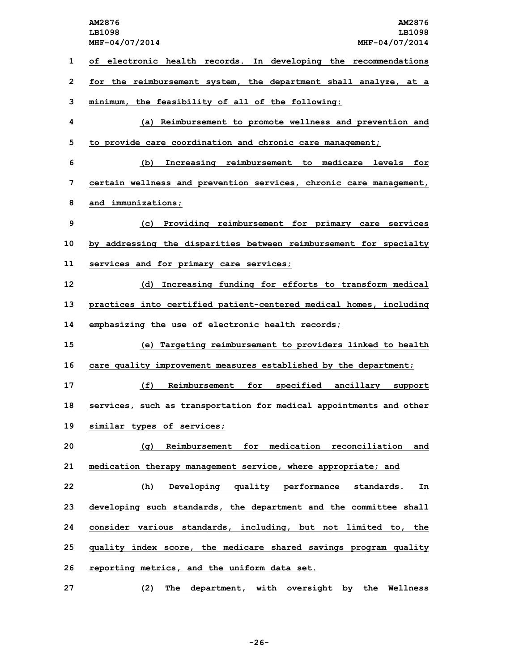**AM2876 AM2876 LB1098 LB1098 MHF-04/07/2014 MHF-04/07/2014 of electronic health records. In developing the recommendations for the reimbursement system, the department shall analyze, at <sup>a</sup> minimum, the feasibility of all of the following: (a) Reimbursement to promote wellness and prevention and to provide care coordination and chronic care management; (b) Increasing reimbursement to medicare levels for certain wellness and prevention services, chronic care management, and immunizations; (c) Providing reimbursement for primary care services by addressing the disparities between reimbursement for specialty services and for primary care services; (d) Increasing funding for efforts to transform medical practices into certified patient-centered medical homes, including emphasizing the use of electronic health records; (e) Targeting reimbursement to providers linked to health care quality improvement measures established by the department; (f) Reimbursement for specified ancillary support services, such as transportation for medical appointments and other similar types of services; (g) Reimbursement for medication reconciliation and medication therapy management service, where appropriate; and (h) Developing quality performance standards. In developing such standards, the department and the committee shall consider various standards, including, but not limited to, the quality index score, the medicare shared savings program quality reporting metrics, and the uniform data set. (2) The department, with oversight by the Wellness**

**-26-**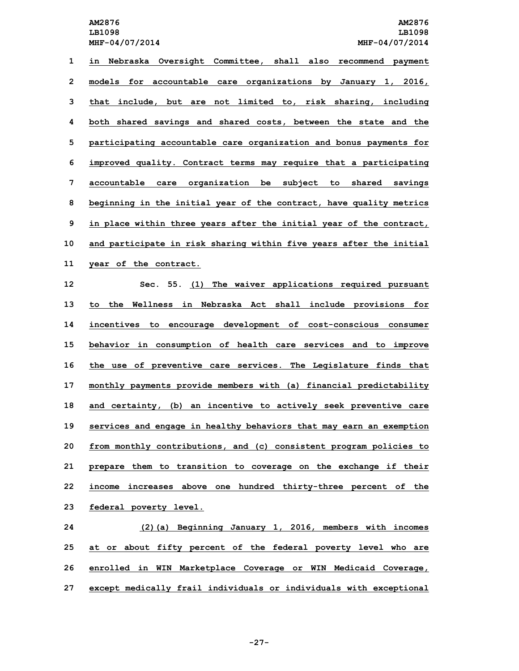**in Nebraska Oversight Committee, shall also recommend payment models for accountable care organizations by January 1, 2016, that include, but are not limited to, risk sharing, including both shared savings and shared costs, between the state and the participating accountable care organization and bonus payments for improved quality. Contract terms may require that <sup>a</sup> participating accountable care organization be subject to shared savings beginning in the initial year of the contract, have quality metrics in place within three years after the initial year of the contract, and participate in risk sharing within five years after the initial year of the contract.**

 **Sec. 55. (1) The waiver applications required pursuant to the Wellness in Nebraska Act shall include provisions for incentives to encourage development of cost-conscious consumer behavior in consumption of health care services and to improve the use of preventive care services. The Legislature finds that monthly payments provide members with (a) financial predictability and certainty, (b) an incentive to actively seek preventive care services and engage in healthy behaviors that may earn an exemption from monthly contributions, and (c) consistent program policies to prepare them to transition to coverage on the exchange if their income increases above one hundred thirty-three percent of the federal poverty level.**

 **(2)(a) Beginning January 1, 2016, members with incomes at or about fifty percent of the federal poverty level who are enrolled in WIN Marketplace Coverage or WIN Medicaid Coverage, except medically frail individuals or individuals with exceptional**

**-27-**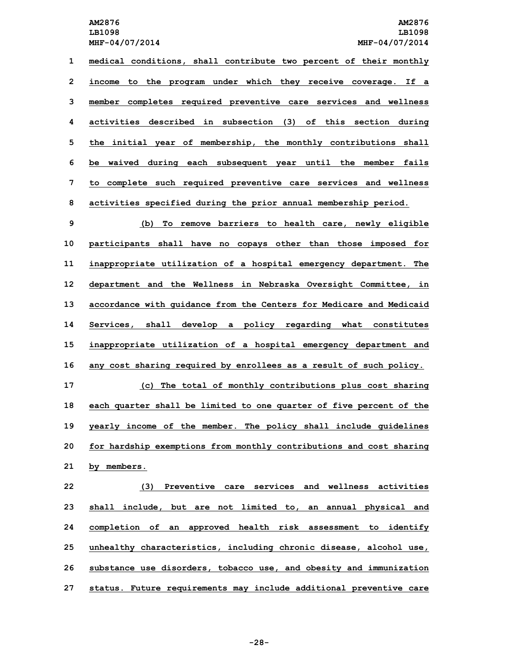**medical conditions, shall contribute two percent of their monthly income to the program under which they receive coverage. If <sup>a</sup> member completes required preventive care services and wellness activities described in subsection (3) of this section during the initial year of membership, the monthly contributions shall be waived during each subsequent year until the member fails to complete such required preventive care services and wellness activities specified during the prior annual membership period.**

 **(b) To remove barriers to health care, newly eligible participants shall have no copays other than those imposed for inappropriate utilization of <sup>a</sup> hospital emergency department. The department and the Wellness in Nebraska Oversight Committee, in accordance with guidance from the Centers for Medicare and Medicaid Services, shall develop <sup>a</sup> policy regarding what constitutes inappropriate utilization of <sup>a</sup> hospital emergency department and any cost sharing required by enrollees as <sup>a</sup> result of such policy.**

 **(c) The total of monthly contributions plus cost sharing each quarter shall be limited to one quarter of five percent of the yearly income of the member. The policy shall include guidelines for hardship exemptions from monthly contributions and cost sharing by members.**

 **(3) Preventive care services and wellness activities shall include, but are not limited to, an annual physical and completion of an approved health risk assessment to identify unhealthy characteristics, including chronic disease, alcohol use, substance use disorders, tobacco use, and obesity and immunization status. Future requirements may include additional preventive care**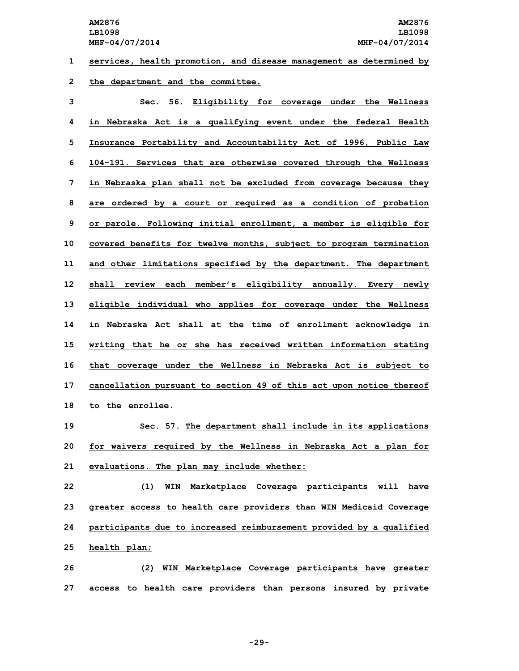**1 services, health promotion, and disease management as determined by**

**2 the department and the committee.**

 **Sec. 56. Eligibility for coverage under the Wellness in Nebraska Act is <sup>a</sup> qualifying event under the federal Health Insurance Portability and Accountability Act of 1996, Public Law 104-191. Services that are otherwise covered through the Wellness in Nebraska plan shall not be excluded from coverage because they are ordered by <sup>a</sup> court or required as <sup>a</sup> condition of probation or parole. Following initial enrollment, <sup>a</sup> member is eligible for covered benefits for twelve months, subject to program termination and other limitations specified by the department. The department shall review each member's eligibility annually. Every newly eligible individual who applies for coverage under the Wellness in Nebraska Act shall at the time of enrollment acknowledge in writing that he or she has received written information stating that coverage under the Wellness in Nebraska Act is subject to cancellation pursuant to section 49 of this act upon notice thereof to the enrollee.**

**19 Sec. 57. The department shall include in its applications 20 for waivers required by the Wellness in Nebraska Act <sup>a</sup> plan for 21 evaluations. The plan may include whether:**

 **(1) WIN Marketplace Coverage participants will have greater access to health care providers than WIN Medicaid Coverage participants due to increased reimbursement provided by <sup>a</sup> qualified health plan;**

**26 (2) WIN Marketplace Coverage participants have greater 27 access to health care providers than persons insured by private**

**-29-**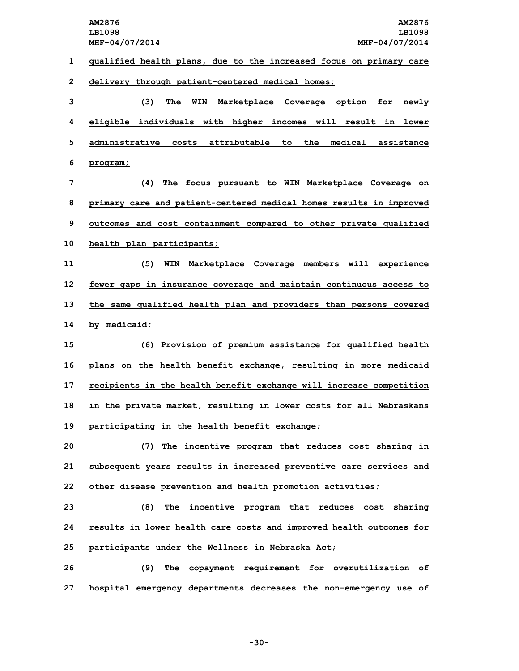**AM2876 AM2876 LB1098 LB1098 MHF-04/07/2014 MHF-04/07/2014 qualified health plans, due to the increased focus on primary care delivery through patient-centered medical homes; (3) The WIN Marketplace Coverage option for newly eligible individuals with higher incomes will result in lower administrative costs attributable to the medical assistance 6 program; (4) The focus pursuant to WIN Marketplace Coverage on primary care and patient-centered medical homes results in improved outcomes and cost containment compared to other private qualified health plan participants; (5) WIN Marketplace Coverage members will experience fewer gaps in insurance coverage and maintain continuous access to the same qualified health plan and providers than persons covered by medicaid; (6) Provision of premium assistance for qualified health plans on the health benefit exchange, resulting in more medicaid recipients in the health benefit exchange will increase competition in the private market, resulting in lower costs for all Nebraskans participating in the health benefit exchange; (7) The incentive program that reduces cost sharing in subsequent years results in increased preventive care services and other disease prevention and health promotion activities; (8) The incentive program that reduces cost sharing results in lower health care costs and improved health outcomes for participants under the Wellness in Nebraska Act; (9) The copayment requirement for overutilization of hospital emergency departments decreases the non-emergency use of**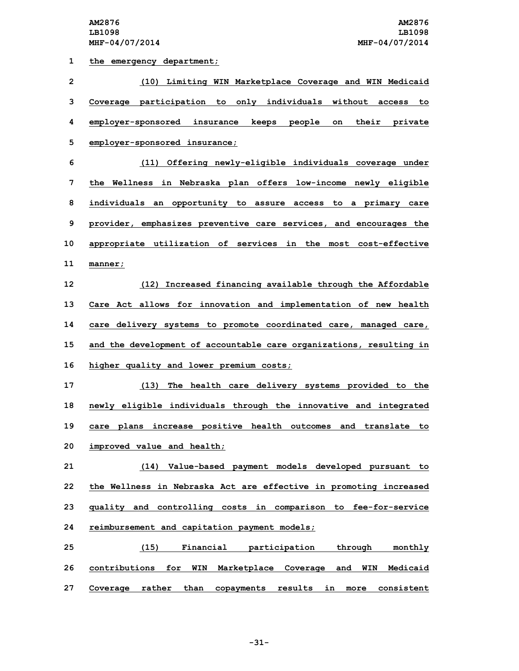**1 the emergency department;**

 **(10) Limiting WIN Marketplace Coverage and WIN Medicaid Coverage participation to only individuals without access to employer-sponsored insurance keeps people on their private employer-sponsored insurance; (11) Offering newly-eligible individuals coverage under the Wellness in Nebraska plan offers low-income newly eligible individuals an opportunity to assure access to <sup>a</sup> primary care provider, emphasizes preventive care services, and encourages the appropriate utilization of services in the most cost-effective 11 manner; (12) Increased financing available through the Affordable Care Act allows for innovation and implementation of new health care delivery systems to promote coordinated care, managed care, and the development of accountable care organizations, resulting in higher quality and lower premium costs; (13) The health care delivery systems provided to the newly eligible individuals through the innovative and integrated care plans increase positive health outcomes and translate to improved value and health; (14) Value-based payment models developed pursuant to the Wellness in Nebraska Act are effective in promoting increased quality and controlling costs in comparison to fee-for-service reimbursement and capitation payment models; (15) Financial participation through monthly contributions for WIN Marketplace Coverage and WIN Medicaid Coverage rather than copayments results in more consistent**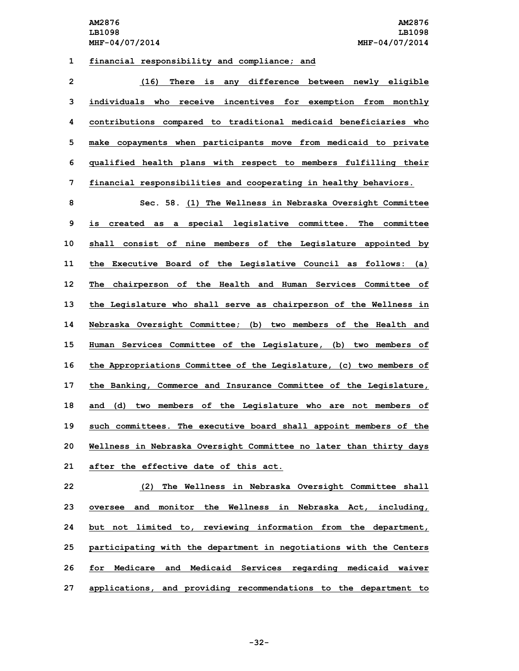## **1 financial responsibility and compliance; and**

 **(16) There is any difference between newly eligible individuals who receive incentives for exemption from monthly contributions compared to traditional medicaid beneficiaries who make copayments when participants move from medicaid to private qualified health plans with respect to members fulfilling their financial responsibilities and cooperating in healthy behaviors.**

 **Sec. 58. (1) The Wellness in Nebraska Oversight Committee is created as <sup>a</sup> special legislative committee. The committee shall consist of nine members of the Legislature appointed by the Executive Board of the Legislative Council as follows: (a) The chairperson of the Health and Human Services Committee of the Legislature who shall serve as chairperson of the Wellness in Nebraska Oversight Committee; (b) two members of the Health and Human Services Committee of the Legislature, (b) two members of the Appropriations Committee of the Legislature, (c) two members of the Banking, Commerce and Insurance Committee of the Legislature, and (d) two members of the Legislature who are not members of such committees. The executive board shall appoint members of the Wellness in Nebraska Oversight Committee no later than thirty days after the effective date of this act.**

 **(2) The Wellness in Nebraska Oversight Committee shall oversee and monitor the Wellness in Nebraska Act, including, but not limited to, reviewing information from the department, participating with the department in negotiations with the Centers for Medicare and Medicaid Services regarding medicaid waiver applications, and providing recommendations to the department to**

**-32-**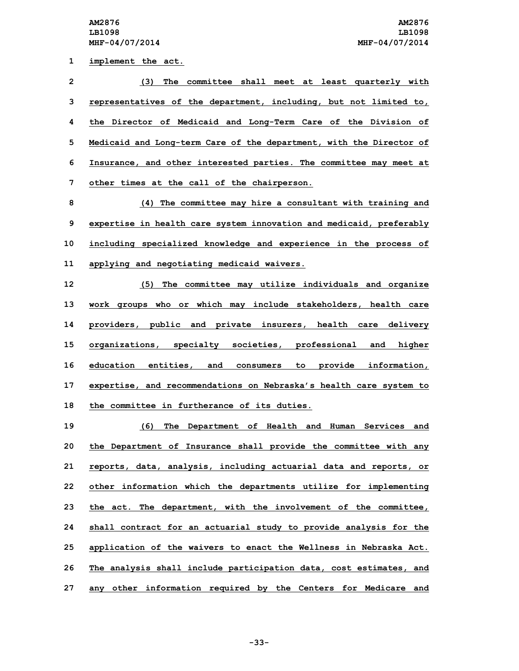**implement the act. (3) The committee shall meet at least quarterly with representatives of the department, including, but not limited to, the Director of Medicaid and Long-Term Care of the Division of Medicaid and Long-term Care of the department, with the Director of Insurance, and other interested parties. The committee may meet at other times at the call of the chairperson. (4) The committee may hire <sup>a</sup> consultant with training and**

**9 expertise in health care system innovation and medicaid, preferably 10 including specialized knowledge and experience in the process of 11 applying and negotiating medicaid waivers.**

 **(5) The committee may utilize individuals and organize work groups who or which may include stakeholders, health care providers, public and private insurers, health care delivery organizations, specialty societies, professional and higher education entities, and consumers to provide information, expertise, and recommendations on Nebraska's health care system to the committee in furtherance of its duties.**

 **(6) The Department of Health and Human Services and the Department of Insurance shall provide the committee with any reports, data, analysis, including actuarial data and reports, or other information which the departments utilize for implementing the act. The department, with the involvement of the committee, shall contract for an actuarial study to provide analysis for the application of the waivers to enact the Wellness in Nebraska Act. The analysis shall include participation data, cost estimates, and any other information required by the Centers for Medicare and**

**-33-**